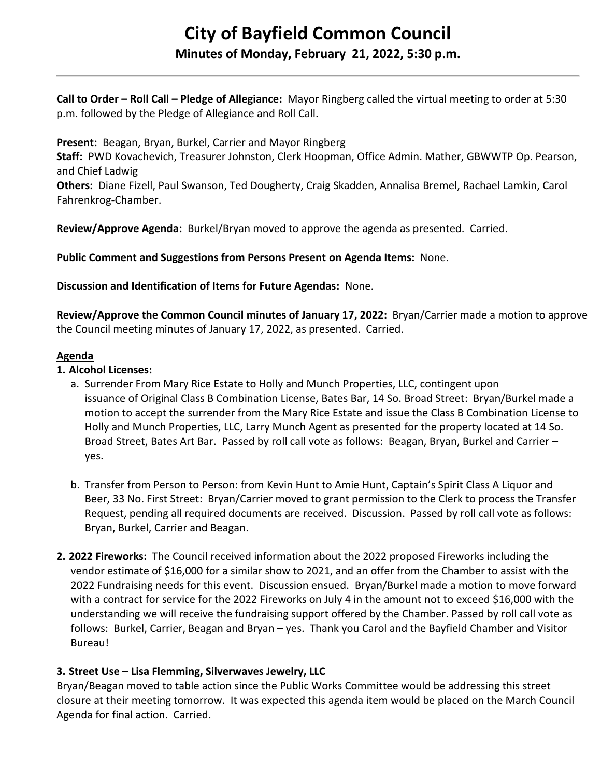# **City of Bayfield Common Council**

# **Minutes of Monday, February 21, 2022, 5:30 p.m.**

**Call to Order – Roll Call – Pledge of Allegiance:** Mayor Ringberg called the virtual meeting to order at 5:30 p.m. followed by the Pledge of Allegiance and Roll Call.

**Present:** Beagan, Bryan, Burkel, Carrier and Mayor Ringberg

**Staff:** PWD Kovachevich, Treasurer Johnston, Clerk Hoopman, Office Admin. Mather, GBWWTP Op. Pearson, and Chief Ladwig

**Others:** Diane Fizell, Paul Swanson, Ted Dougherty, Craig Skadden, Annalisa Bremel, Rachael Lamkin, Carol Fahrenkrog-Chamber.

**Review/Approve Agenda:** Burkel/Bryan moved to approve the agenda as presented. Carried.

**Public Comment and Suggestions from Persons Present on Agenda Items:** None.

**Discussion and Identification of Items for Future Agendas:** None.

**Review/Approve the Common Council minutes of January 17, 2022:** Bryan/Carrier made a motion to approve the Council meeting minutes of January 17, 2022, as presented. Carried.

## **Agenda**

## **1. Alcohol Licenses:**

- a. Surrender From Mary Rice Estate to Holly and Munch Properties, LLC, contingent upon issuance of Original Class B Combination License, Bates Bar, 14 So. Broad Street: Bryan/Burkel made a motion to accept the surrender from the Mary Rice Estate and issue the Class B Combination License to Holly and Munch Properties, LLC, Larry Munch Agent as presented for the property located at 14 So. Broad Street, Bates Art Bar. Passed by roll call vote as follows: Beagan, Bryan, Burkel and Carrier – yes.
- b. Transfer from Person to Person: from Kevin Hunt to Amie Hunt, Captain's Spirit Class A Liquor and Beer, 33 No. First Street: Bryan/Carrier moved to grant permission to the Clerk to process the Transfer Request, pending all required documents are received. Discussion. Passed by roll call vote as follows: Bryan, Burkel, Carrier and Beagan.
- **2. 2022 Fireworks:** The Council received information about the 2022 proposed Fireworks including the vendor estimate of \$16,000 for a similar show to 2021, and an offer from the Chamber to assist with the 2022 Fundraising needs for this event. Discussion ensued. Bryan/Burkel made a motion to move forward with a contract for service for the 2022 Fireworks on July 4 in the amount not to exceed \$16,000 with the understanding we will receive the fundraising support offered by the Chamber. Passed by roll call vote as follows: Burkel, Carrier, Beagan and Bryan – yes. Thank you Carol and the Bayfield Chamber and Visitor Bureau!

# **3. Street Use – Lisa Flemming, Silverwaves Jewelry, LLC**

Bryan/Beagan moved to table action since the Public Works Committee would be addressing this street closure at their meeting tomorrow. It was expected this agenda item would be placed on the March Council Agenda for final action. Carried.